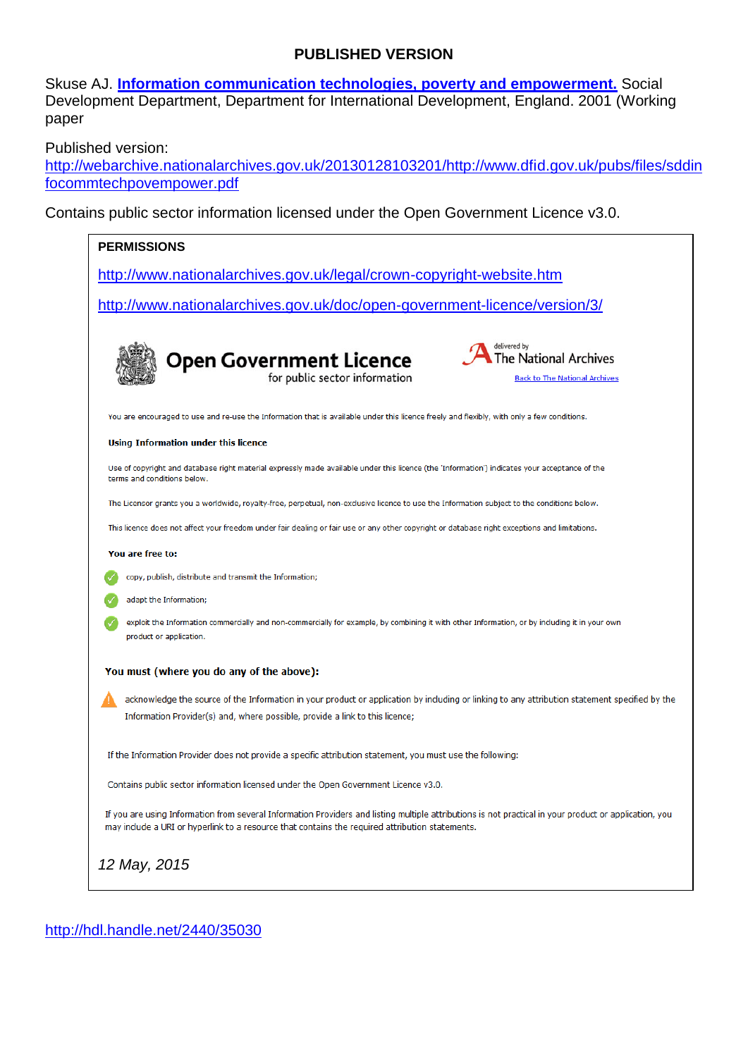#### **PUBLISHED VERSION**

Skuse AJ. **[Information communication technologies, poverty and empowerment.](https://aurora.adelaide.edu.au/viewobject.html?id=185112&cid=1)** Social Development Department, Department for International Development, England. 2001 (Working paper

Published version:

[http://webarchive.nationalarchives.gov.uk/20130128103201/http://www.dfid.gov.uk/pubs/files/sddin](http://webarchive.nationalarchives.gov.uk/20130128103201/http:/www.dfid.gov.uk/pubs/files/sddinfocommtechpovempower.pdf) [focommtechpovempower.pdf](http://webarchive.nationalarchives.gov.uk/20130128103201/http:/www.dfid.gov.uk/pubs/files/sddinfocommtechpovempower.pdf)

Contains public sector information licensed under the Open Government Licence v3.0.

| <b>PERMISSIONS</b>                                                                                                                                                                                                                                        |  |  |  |  |  |  |  |  |
|-----------------------------------------------------------------------------------------------------------------------------------------------------------------------------------------------------------------------------------------------------------|--|--|--|--|--|--|--|--|
| http://www.nationalarchives.gov.uk/legal/crown-copyright-website.htm                                                                                                                                                                                      |  |  |  |  |  |  |  |  |
| http://www.nationalarchives.gov.uk/doc/open-government-licence/version/3/                                                                                                                                                                                 |  |  |  |  |  |  |  |  |
|                                                                                                                                                                                                                                                           |  |  |  |  |  |  |  |  |
| delivered by<br><b>Open Government Licence</b><br>for public sector information<br>he National Archives                                                                                                                                                   |  |  |  |  |  |  |  |  |
| <b>Back to The National Archives</b>                                                                                                                                                                                                                      |  |  |  |  |  |  |  |  |
| You are encouraged to use and re-use the Information that is available under this licence freely and flexibly, with only a few conditions.                                                                                                                |  |  |  |  |  |  |  |  |
| Using Information under this licence                                                                                                                                                                                                                      |  |  |  |  |  |  |  |  |
| Use of copyright and database right material expressly made available under this licence (the 'Information') indicates your acceptance of the<br>terms and conditions below.                                                                              |  |  |  |  |  |  |  |  |
| The Licensor grants you a worldwide, royalty-free, perpetual, non-exclusive licence to use the Information subject to the conditions below.                                                                                                               |  |  |  |  |  |  |  |  |
| This licence does not affect your freedom under fair dealing or fair use or any other copyright or database right exceptions and limitations.                                                                                                             |  |  |  |  |  |  |  |  |
| You are free to:                                                                                                                                                                                                                                          |  |  |  |  |  |  |  |  |
| copy, publish, distribute and transmit the Information;                                                                                                                                                                                                   |  |  |  |  |  |  |  |  |
| adapt the Information;                                                                                                                                                                                                                                    |  |  |  |  |  |  |  |  |
| exploit the Information commercially and non-commercially for example, by combining it with other Information, or by including it in your own<br>product or application.                                                                                  |  |  |  |  |  |  |  |  |
| You must (where you do any of the above):                                                                                                                                                                                                                 |  |  |  |  |  |  |  |  |
| acknowledge the source of the Information in your product or application by including or linking to any attribution statement specified by the<br>Information Provider(s) and, where possible, provide a link to this licence;                            |  |  |  |  |  |  |  |  |
| If the Information Provider does not provide a specific attribution statement, you must use the following:                                                                                                                                                |  |  |  |  |  |  |  |  |
| Contains public sector information licensed under the Open Government Licence v3.0.                                                                                                                                                                       |  |  |  |  |  |  |  |  |
| If you are using Information from several Information Providers and listing multiple attributions is not practical in your product or application, you<br>may include a URI or hyperlink to a resource that contains the required attribution statements. |  |  |  |  |  |  |  |  |
| 12 May, 2015                                                                                                                                                                                                                                              |  |  |  |  |  |  |  |  |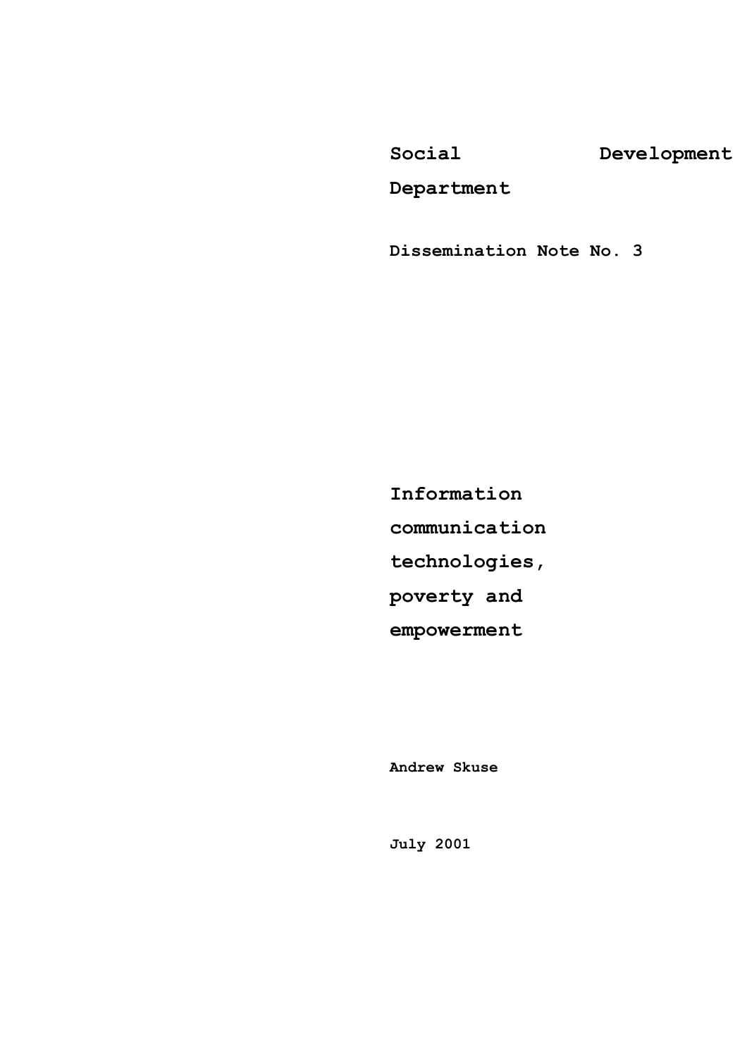**Social Development**

**Department**

**Dissemination Note No. 3** 

**Information communication technologies, poverty and empowerment**

**Andrew Skuse** 

**July 2001**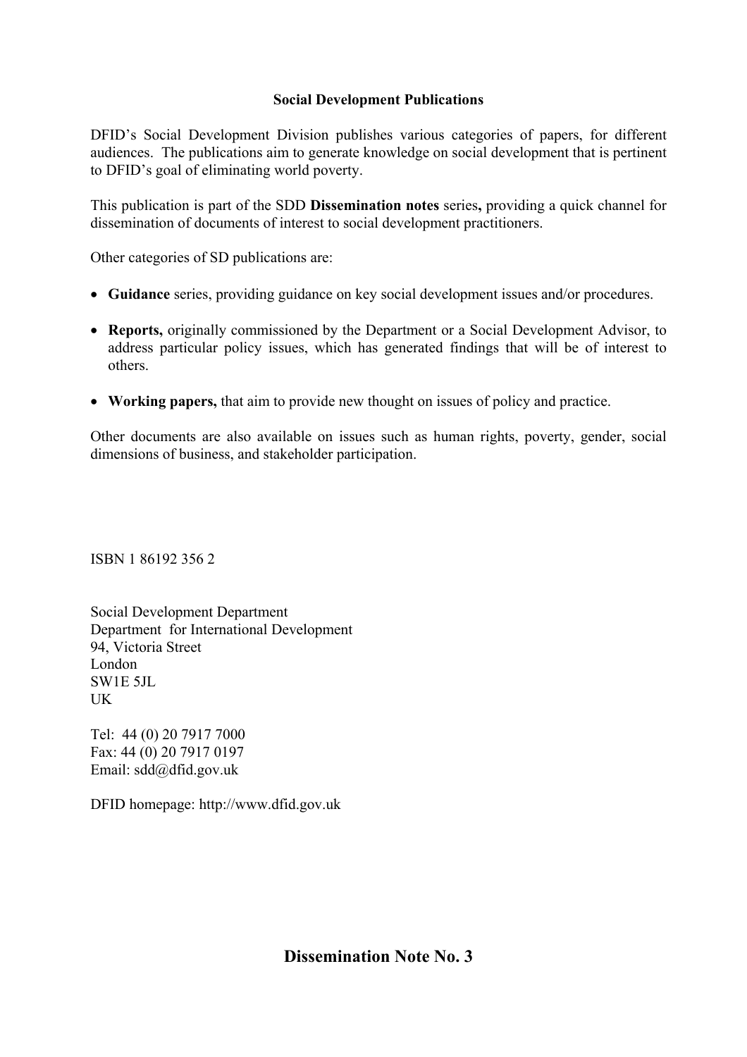#### **Social Development Publications**

DFID's Social Development Division publishes various categories of papers, for different audiences. The publications aim to generate knowledge on social development that is pertinent to DFID's goal of eliminating world poverty.

This publication is part of the SDD **Dissemination notes** series**,** providing a quick channel for dissemination of documents of interest to social development practitioners.

Other categories of SD publications are:

- **Guidance** series, providing guidance on key social development issues and/or procedures.
- **Reports,** originally commissioned by the Department or a Social Development Advisor, to address particular policy issues, which has generated findings that will be of interest to others.
- **Working papers,** that aim to provide new thought on issues of policy and practice.

Other documents are also available on issues such as human rights, poverty, gender, social dimensions of business, and stakeholder participation.

ISBN 1 86192 356 2

Social Development Department Department for International Development 94, Victoria Street London SW1E 5JL **I**K

Tel: 44 (0) 20 7917 7000 Fax: 44 (0) 20 7917 0197 Email: sdd@dfid.gov.uk

DFID homepage: http://www.dfid.gov.uk

**Dissemination Note No. 3**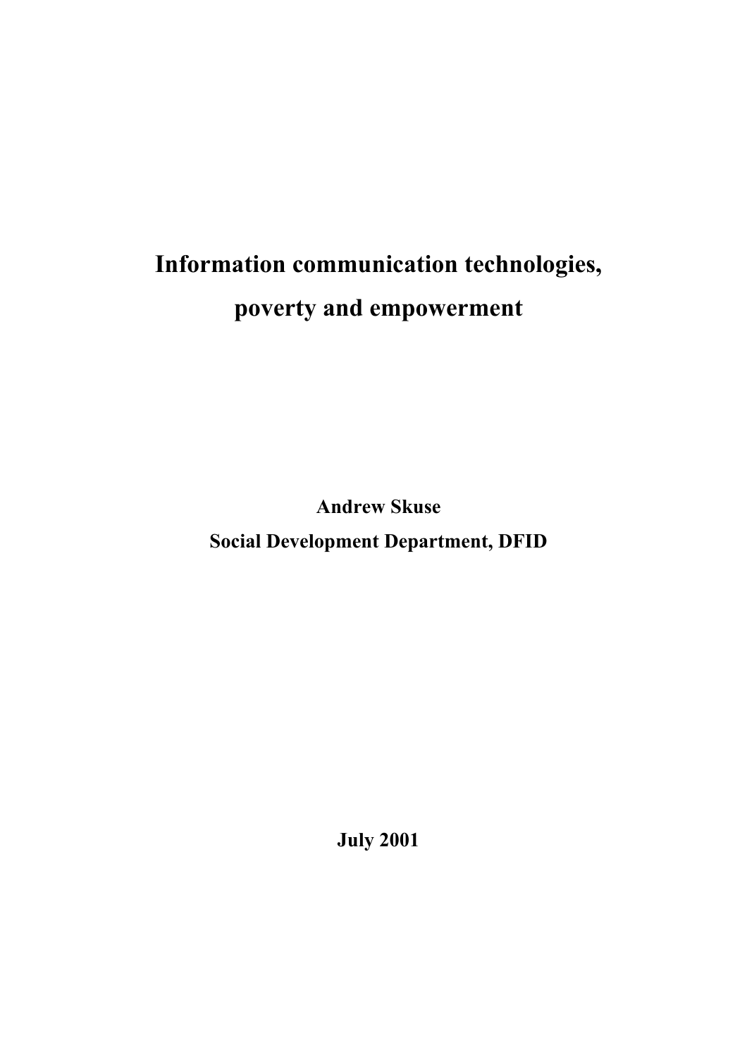# **Information communication technologies, poverty and empowerment**

**Andrew Skuse Social Development Department, DFID**

**July 2001**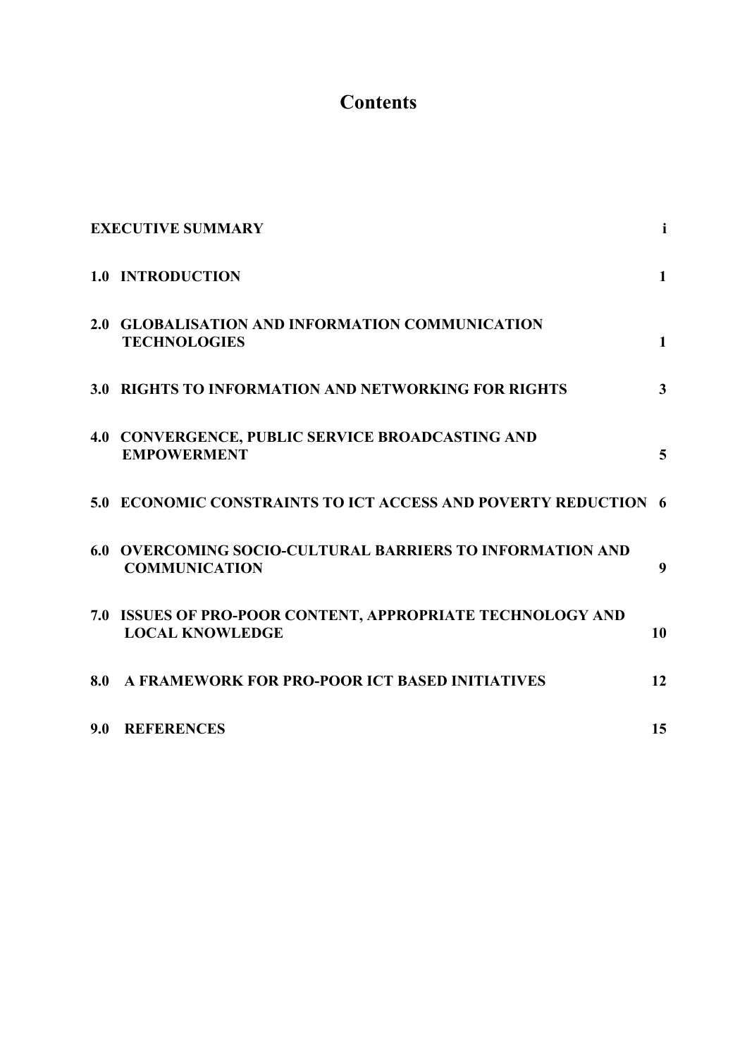# **Contents**

|     | <b>EXECUTIVE SUMMARY</b>                                                             | $\mathbf{i}$   |
|-----|--------------------------------------------------------------------------------------|----------------|
|     | 1.0 INTRODUCTION                                                                     | $\mathbf{1}$   |
|     | 2.0 GLOBALISATION AND INFORMATION COMMUNICATION<br><b>TECHNOLOGIES</b>               | $\mathbf{1}$   |
|     | 3.0 RIGHTS TO INFORMATION AND NETWORKING FOR RIGHTS                                  | $\overline{3}$ |
|     | 4.0 CONVERGENCE, PUBLIC SERVICE BROADCASTING AND<br><b>EMPOWERMENT</b>               | 5              |
|     | 5.0 ECONOMIC CONSTRAINTS TO ICT ACCESS AND POVERTY REDUCTION 6                       |                |
| 6.0 | <b>OVERCOMING SOCIO-CULTURAL BARRIERS TO INFORMATION AND</b><br><b>COMMUNICATION</b> | 9              |
|     | 7.0 ISSUES OF PRO-POOR CONTENT, APPROPRIATE TECHNOLOGY AND<br><b>LOCAL KNOWLEDGE</b> | 10             |
| 8.0 | A FRAMEWORK FOR PRO-POOR ICT BASED INITIATIVES                                       | 12             |
| 9.0 | <b>REFERENCES</b>                                                                    | 15             |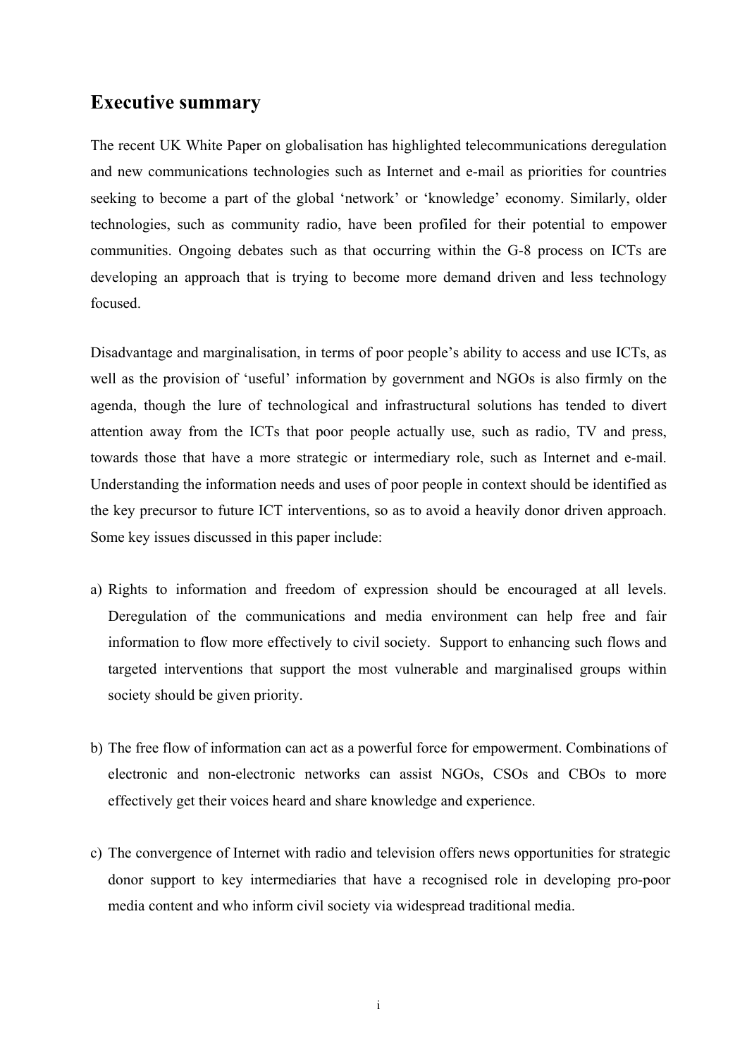## **Executive summary**

The recent UK White Paper on globalisation has highlighted telecommunications deregulation and new communications technologies such as Internet and e-mail as priorities for countries seeking to become a part of the global 'network' or 'knowledge' economy. Similarly, older technologies, such as community radio, have been profiled for their potential to empower communities. Ongoing debates such as that occurring within the G-8 process on ICTs are developing an approach that is trying to become more demand driven and less technology focused.

Disadvantage and marginalisation, in terms of poor people's ability to access and use ICTs, as well as the provision of 'useful' information by government and NGOs is also firmly on the agenda, though the lure of technological and infrastructural solutions has tended to divert attention away from the ICTs that poor people actually use, such as radio, TV and press, towards those that have a more strategic or intermediary role, such as Internet and e-mail. Understanding the information needs and uses of poor people in context should be identified as the key precursor to future ICT interventions, so as to avoid a heavily donor driven approach. Some key issues discussed in this paper include:

- a) Rights to information and freedom of expression should be encouraged at all levels. Deregulation of the communications and media environment can help free and fair information to flow more effectively to civil society. Support to enhancing such flows and targeted interventions that support the most vulnerable and marginalised groups within society should be given priority.
- b) The free flow of information can act as a powerful force for empowerment. Combinations of electronic and non-electronic networks can assist NGOs, CSOs and CBOs to more effectively get their voices heard and share knowledge and experience.
- c) The convergence of Internet with radio and television offers news opportunities for strategic donor support to key intermediaries that have a recognised role in developing pro-poor media content and who inform civil society via widespread traditional media.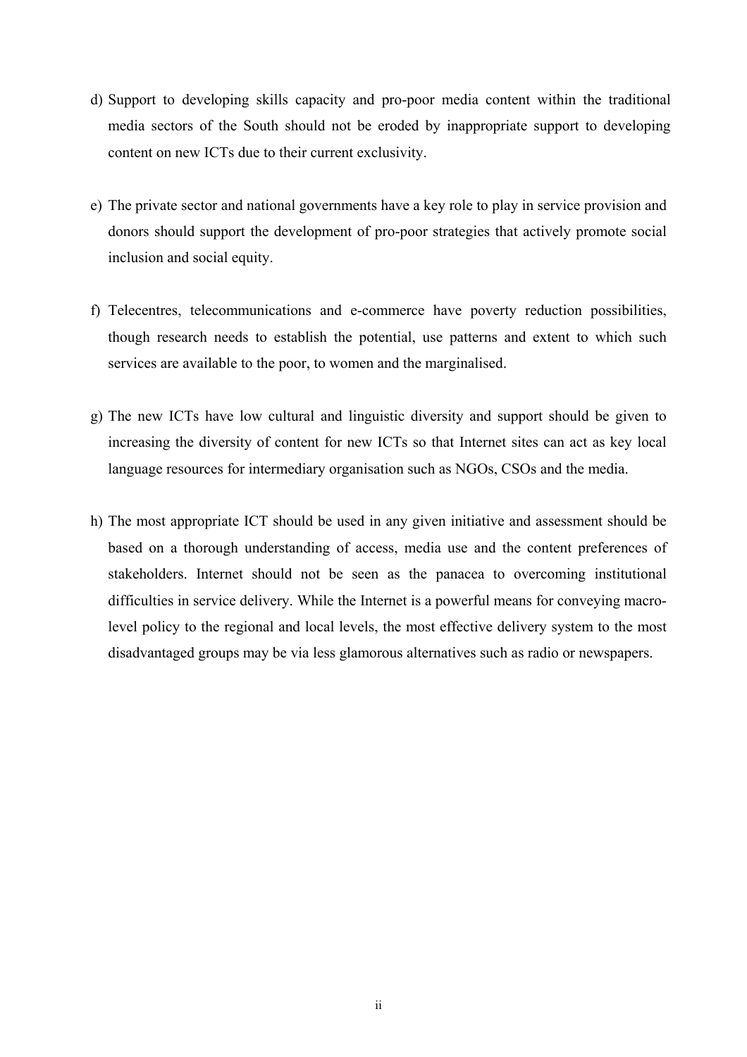- d) Support to developing skills capacity and pro-poor media content within the traditional media sectors of the South should not be eroded by inappropriate support to developing content on new ICTs due to their current exclusivity.
- e) The private sector and national governments have a key role to play in service provision and donors should support the development of pro-poor strategies that actively promote social inclusion and social equity.
- f) Telecentres, telecommunications and e-commerce have poverty reduction possibilities, though research needs to establish the potential, use patterns and extent to which such services are available to the poor, to women and the marginalised.
- g) The new ICTs have low cultural and linguistic diversity and support should be given to increasing the diversity of content for new ICTs so that Internet sites can act as key local language resources for intermediary organisation such as NGOs, CSOs and the media.
- h) The most appropriate ICT should be used in any given initiative and assessment should be based on a thorough understanding of access, media use and the content preferences of stakeholders. Internet should not be seen as the panacea to overcoming institutional difficulties in service delivery. While the Internet is a powerful means for conveying macrolevel policy to the regional and local levels, the most effective delivery system to the most disadvantaged groups may be via less glamorous alternatives such as radio or newspapers.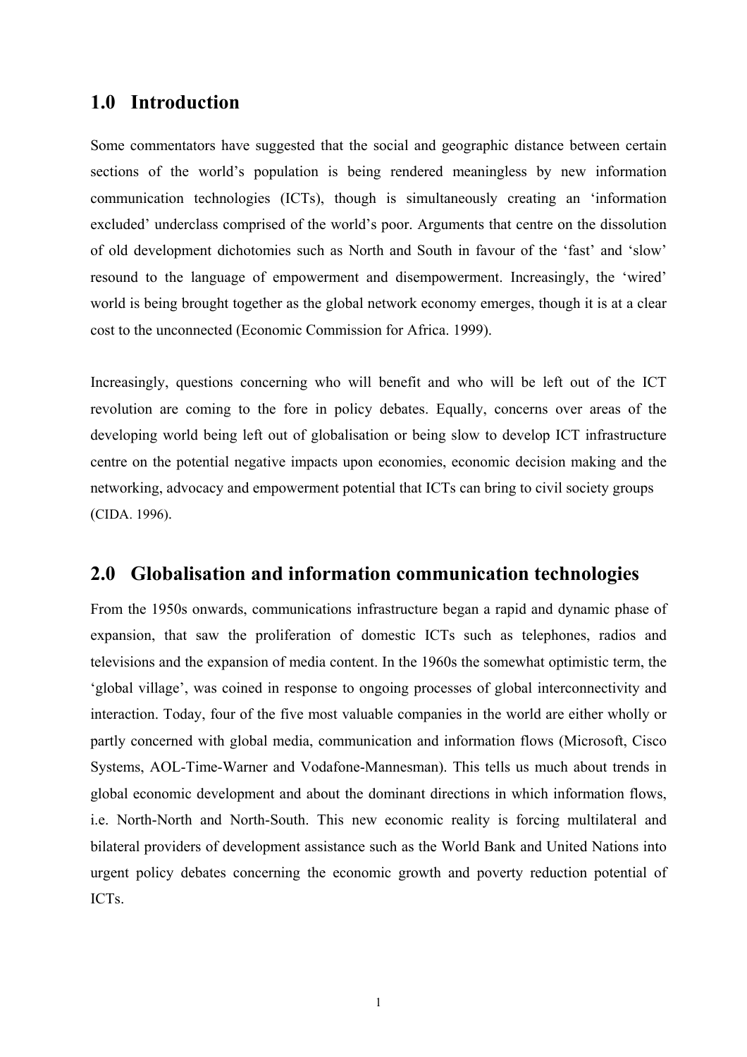## <span id="page-7-0"></span>**1.0 Introduction**

Some commentators have suggested that the social and geographic distance between certain sections of the world's population is being rendered meaningless by new information communication technologies (ICTs), though is simultaneously creating an 'information excluded' underclass comprised of the world's poor. Arguments that centre on the dissolution of old development dichotomies such as North and South in favour of the 'fast' and 'slow' resound to the language of empowerment and disempowerment. Increasingly, the 'wired' world is being brought together as the global network economy emerges, though it is at a clear cost to the unconnected (Economic Commission for Africa. 1999).

Increasingly, questions concerning who will benefit and who will be left out of the ICT revolution are coming to the fore in policy debates. Equally, concerns over areas of the developing world being left out of globalisation or being slow to develop ICT infrastructure centre on the potential negative impacts upon economies, economic decision making and the networking, advocacy and empowerment potential that ICTs can bring to civil society groups (CIDA. 1996).

## **2.0 Globalisation and information communication technologies**

From the 1950s onwards, communications infrastructure began a rapid and dynamic phase of expansion, that saw the proliferation of domestic ICTs such as telephones, radios and televisions and the expansion of media content. In the 1960s the somewhat optimistic term, the 'global village', was coined in response to ongoing processes of global interconnectivity and interaction. Today, four of the five most valuable companies in the world are either wholly or partly concerned with global media, communication and information flows (Microsoft, Cisco Systems, AOL-Time-Warner and Vodafone-Mannesman). This tells us much about trends in global economic development and about the dominant directions in which information flows, i.e. North-North and North-South. This new economic reality is forcing multilateral and bilateral providers of development assistance such as the World Bank and United Nations into urgent policy debates concerning the economic growth and poverty reduction potential of ICTs.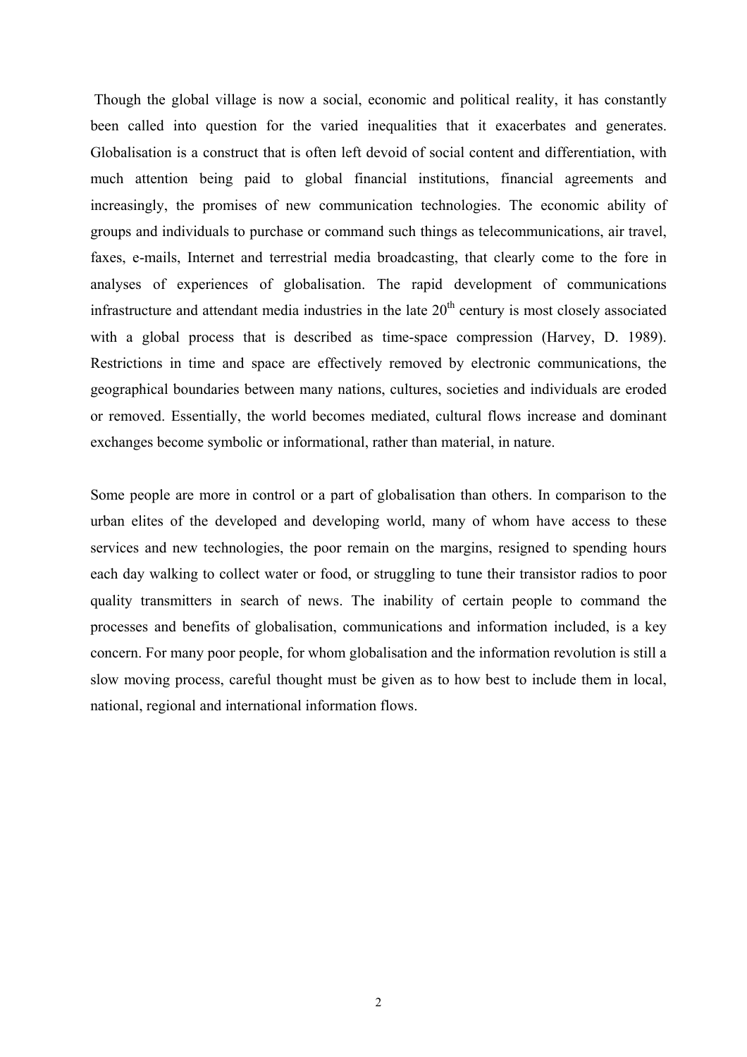Though the global village is now a social, economic and political reality, it has constantly been called into question for the varied inequalities that it exacerbates and generates. Globalisation is a construct that is often left devoid of social content and differentiation, with much attention being paid to global financial institutions, financial agreements and increasingly, the promises of new communication technologies. The economic ability of groups and individuals to purchase or command such things as telecommunications, air travel, faxes, e-mails, Internet and terrestrial media broadcasting, that clearly come to the fore in analyses of experiences of globalisation. The rapid development of communications infrastructure and attendant media industries in the late  $20<sup>th</sup>$  century is most closely associated with a global process that is described as time-space compression (Harvey, D. 1989). Restrictions in time and space are effectively removed by electronic communications, the geographical boundaries between many nations, cultures, societies and individuals are eroded or removed. Essentially, the world becomes mediated, cultural flows increase and dominant exchanges become symbolic or informational, rather than material, in nature.

Some people are more in control or a part of globalisation than others. In comparison to the urban elites of the developed and developing world, many of whom have access to these services and new technologies, the poor remain on the margins, resigned to spending hours each day walking to collect water or food, or struggling to tune their transistor radios to poor quality transmitters in search of news. The inability of certain people to command the processes and benefits of globalisation, communications and information included, is a key concern. For many poor people, for whom globalisation and the information revolution is still a slow moving process, careful thought must be given as to how best to include them in local, national, regional and international information flows.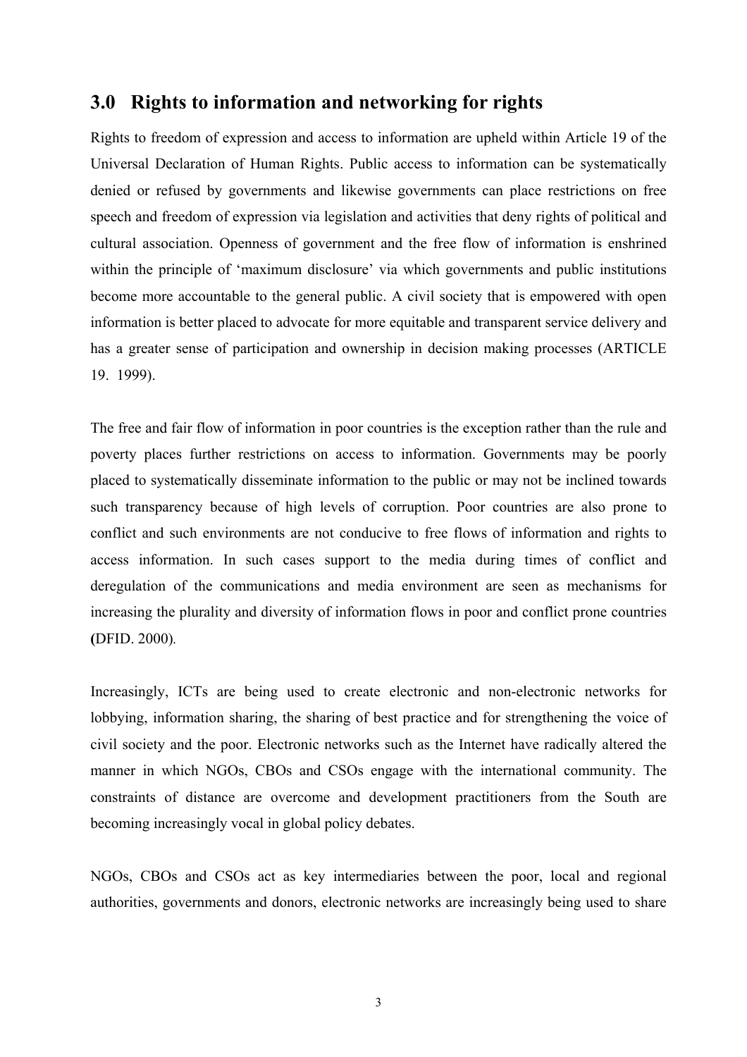### <span id="page-9-0"></span>**3.0 Rights to information and networking for rights**

Rights to freedom of expression and access to information are upheld within Article 19 of the Universal Declaration of Human Rights. Public access to information can be systematically denied or refused by governments and likewise governments can place restrictions on free speech and freedom of expression via legislation and activities that deny rights of political and cultural association. Openness of government and the free flow of information is enshrined within the principle of 'maximum disclosure' via which governments and public institutions become more accountable to the general public. A civil society that is empowered with open information is better placed to advocate for more equitable and transparent service delivery and has a greater sense of participation and ownership in decision making processes (ARTICLE 19. 1999).

The free and fair flow of information in poor countries is the exception rather than the rule and poverty places further restrictions on access to information. Governments may be poorly placed to systematically disseminate information to the public or may not be inclined towards such transparency because of high levels of corruption. Poor countries are also prone to conflict and such environments are not conducive to free flows of information and rights to access information. In such cases support to the media during times of conflict and deregulation of the communications and media environment are seen as mechanisms for increasing the plurality and diversity of information flows in poor and conflict prone countries **(**DFID. 2000)*.* 

Increasingly, ICTs are being used to create electronic and non-electronic networks for lobbying, information sharing, the sharing of best practice and for strengthening the voice of civil society and the poor. Electronic networks such as the Internet have radically altered the manner in which NGOs, CBOs and CSOs engage with the international community. The constraints of distance are overcome and development practitioners from the South are becoming increasingly vocal in global policy debates.

NGOs, CBOs and CSOs act as key intermediaries between the poor, local and regional authorities, governments and donors, electronic networks are increasingly being used to share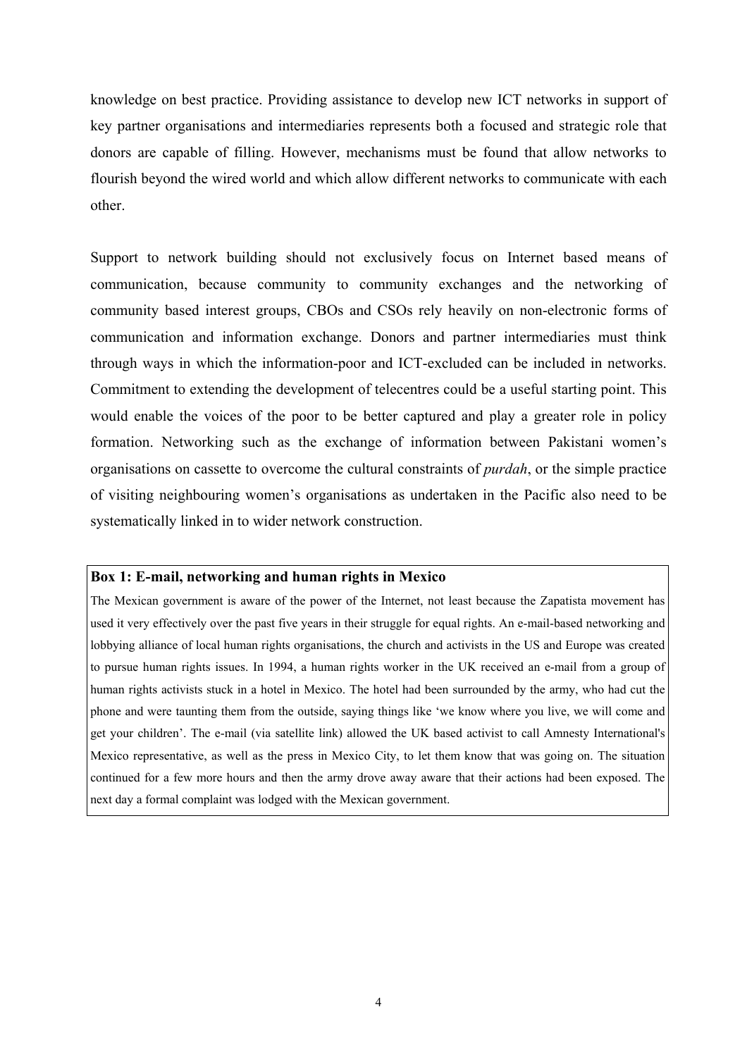knowledge on best practice. Providing assistance to develop new ICT networks in support of key partner organisations and intermediaries represents both a focused and strategic role that donors are capable of filling. However, mechanisms must be found that allow networks to flourish beyond the wired world and which allow different networks to communicate with each other.

Support to network building should not exclusively focus on Internet based means of communication, because community to community exchanges and the networking of community based interest groups, CBOs and CSOs rely heavily on non-electronic forms of communication and information exchange. Donors and partner intermediaries must think through ways in which the information-poor and ICT-excluded can be included in networks. Commitment to extending the development of telecentres could be a useful starting point. This would enable the voices of the poor to be better captured and play a greater role in policy formation. Networking such as the exchange of information between Pakistani women's organisations on cassette to overcome the cultural constraints of *purdah*, or the simple practice of visiting neighbouring women's organisations as undertaken in the Pacific also need to be systematically linked in to wider network construction.

#### **Box 1: E-mail, networking and human rights in Mexico**

The Mexican government is aware of the power of the Internet, not least because the Zapatista movement has used it very effectively over the past five years in their struggle for equal rights. An e-mail-based networking and lobbying alliance of local human rights organisations, the church and activists in the US and Europe was created to pursue human rights issues. In 1994, a human rights worker in the UK received an e-mail from a group of human rights activists stuck in a hotel in Mexico. The hotel had been surrounded by the army, who had cut the phone and were taunting them from the outside, saying things like 'we know where you live, we will come and get your children'. The e-mail (via satellite link) allowed the UK based activist to call Amnesty International's Mexico representative, as well as the press in Mexico City, to let them know that was going on. The situation continued for a few more hours and then the army drove away aware that their actions had been exposed. The next day a formal complaint was lodged with the Mexican government.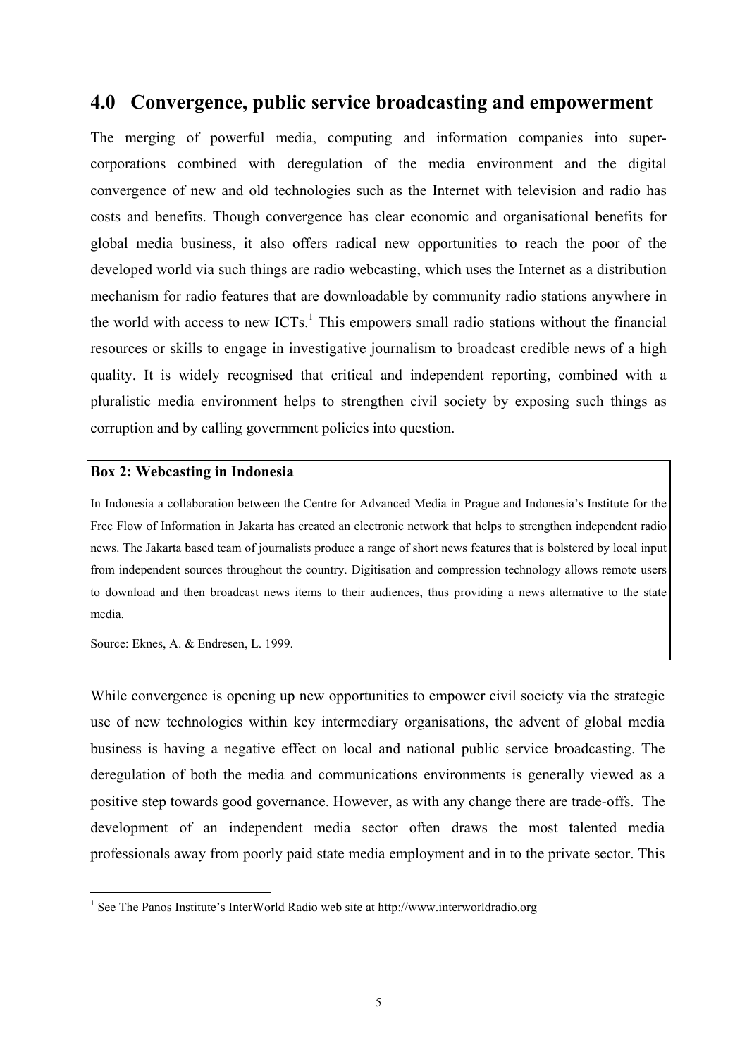## <span id="page-11-0"></span>**4.0 Convergence, public service broadcasting and empowerment**

The merging of powerful media, computing and information companies into supercorporations combined with deregulation of the media environment and the digital convergence of new and old technologies such as the Internet with television and radio has costs and benefits. Though convergence has clear economic and organisational benefits for global media business, it also offers radical new opportunities to reach the poor of the developed world via such things are radio webcasting, which uses the Internet as a distribution mechanism for radio features that are downloadable by community radio stations anywhere in the world with access to new  $ICTs<sup>1</sup>$  $ICTs<sup>1</sup>$  $ICTs<sup>1</sup>$ . This empowers small radio stations without the financial resources or skills to engage in investigative journalism to broadcast credible news of a high quality. It is widely recognised that critical and independent reporting, combined with a pluralistic media environment helps to strengthen civil society by exposing such things as corruption and by calling government policies into question.

#### **Box 2: Webcasting in Indonesia**

In Indonesia a collaboration between the Centre for Advanced Media in Prague and Indonesia's Institute for the Free Flow of Information in Jakarta has created an electronic network that helps to strengthen independent radio news. The Jakarta based team of journalists produce a range of short news features that is bolstered by local input from independent sources throughout the country. Digitisation and compression technology allows remote users to download and then broadcast news items to their audiences, thus providing a news alternative to the state media.

Source: Eknes, A. & Endresen, L. 1999.

While convergence is opening up new opportunities to empower civil society via the strategic use of new technologies within key intermediary organisations, the advent of global media business is having a negative effect on local and national public service broadcasting. The deregulation of both the media and communications environments is generally viewed as a positive step towards good governance. However, as with any change there are trade-offs. The development of an independent media sector often draws the most talented media professionals away from poorly paid state media employment and in to the private sector. This

<span id="page-11-1"></span>1 See The Panos Institute's InterWorld Radio web site at http://www.interworldradio.org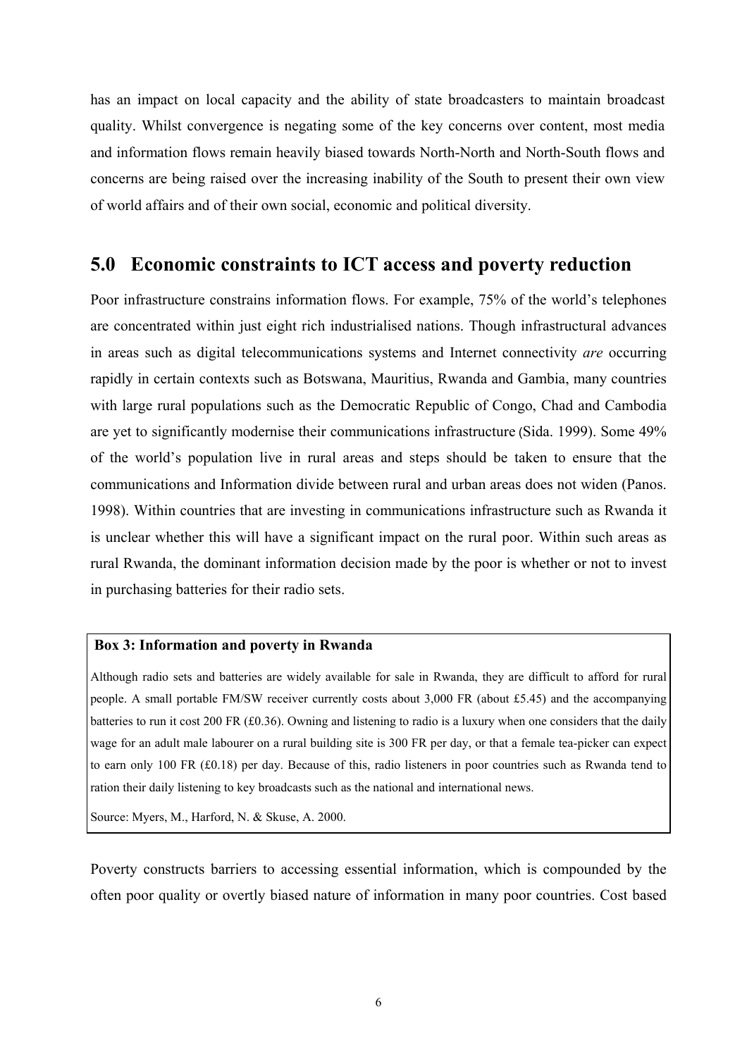<span id="page-12-0"></span>has an impact on local capacity and the ability of state broadcasters to maintain broadcast quality. Whilst convergence is negating some of the key concerns over content, most media and information flows remain heavily biased towards North-North and North-South flows and concerns are being raised over the increasing inability of the South to present their own view of world affairs and of their own social, economic and political diversity.

## **5.0 Economic constraints to ICT access and poverty reduction**

Poor infrastructure constrains information flows. For example, 75% of the world's telephones are concentrated within just eight rich industrialised nations. Though infrastructural advances in areas such as digital telecommunications systems and Internet connectivity *are* occurring rapidly in certain contexts such as Botswana, Mauritius, Rwanda and Gambia, many countries with large rural populations such as the Democratic Republic of Congo, Chad and Cambodia are yet to significantly modernise their communications infrastructure (Sida. 1999). Some 49% of the world's population live in rural areas and steps should be taken to ensure that the communications and Information divide between rural and urban areas does not widen (Panos. 1998). Within countries that are investing in communications infrastructure such as Rwanda it is unclear whether this will have a significant impact on the rural poor. Within such areas as rural Rwanda, the dominant information decision made by the poor is whether or not to invest in purchasing batteries for their radio sets.

#### **Box 3: Information and poverty in Rwanda**

Although radio sets and batteries are widely available for sale in Rwanda, they are difficult to afford for rural people. A small portable FM/SW receiver currently costs about 3,000 FR (about £5.45) and the accompanying batteries to run it cost 200 FR  $(£0.36)$ . Owning and listening to radio is a luxury when one considers that the daily wage for an adult male labourer on a rural building site is 300 FR per day, or that a female tea-picker can expect to earn only 100 FR (£0.18) per day. Because of this, radio listeners in poor countries such as Rwanda tend to ration their daily listening to key broadcasts such as the national and international news.

Source: Myers, M., Harford, N. & Skuse, A. 2000.

Poverty constructs barriers to accessing essential information, which is compounded by the often poor quality or overtly biased nature of information in many poor countries. Cost based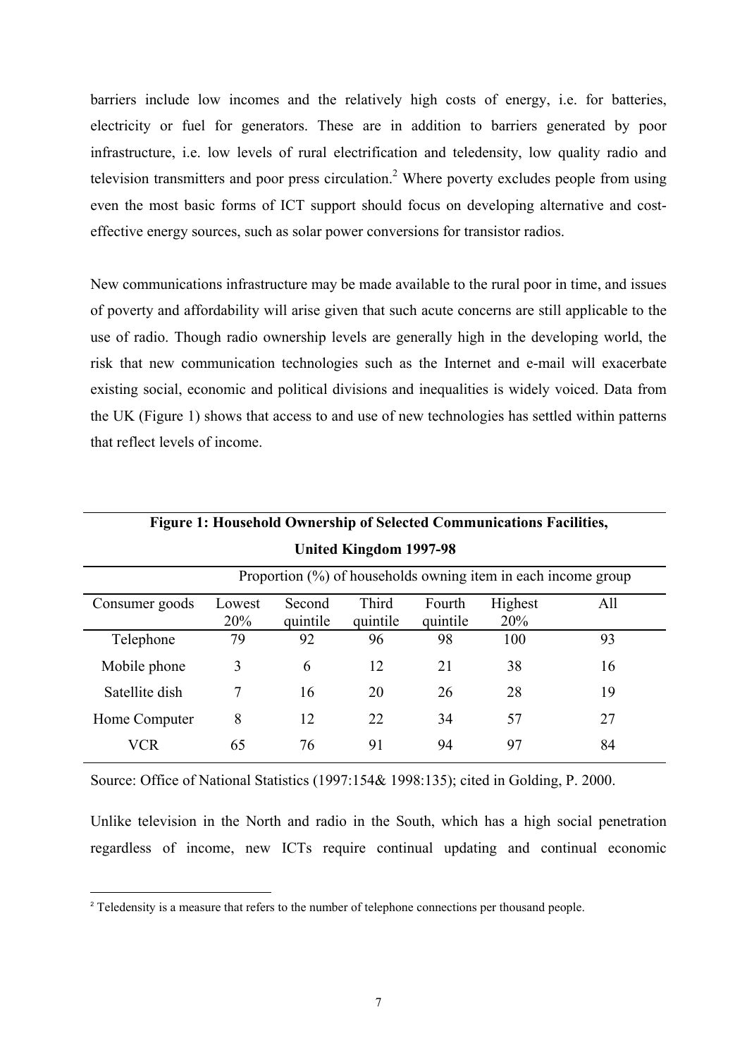barriers include low incomes and the relatively high costs of energy, i.e. for batteries, electricity or fuel for generators. These are in addition to barriers generated by poor infrastructure, i.e. low levels of rural electrification and teledensity, low quality radio and television transmitters and poor press circulation.<sup>[2](#page-13-0)</sup> Where poverty excludes people from using even the most basic forms of ICT support should focus on developing alternative and costeffective energy sources, such as solar power conversions for transistor radios.

New communications infrastructure may be made available to the rural poor in time, and issues of poverty and affordability will arise given that such acute concerns are still applicable to the use of radio. Though radio ownership levels are generally high in the developing world, the risk that new communication technologies such as the Internet and e-mail will exacerbate existing social, economic and political divisions and inequalities is widely voiced. Data from the UK (Figure 1) shows that access to and use of new technologies has settled within patterns that reflect levels of income.

| United Kingdom 1997-98                                        |        |          |          |          |         |     |  |  |  |
|---------------------------------------------------------------|--------|----------|----------|----------|---------|-----|--|--|--|
| Proportion (%) of households owning item in each income group |        |          |          |          |         |     |  |  |  |
| Consumer goods                                                | Lowest | Second   | Third    | Fourth   | Highest | All |  |  |  |
|                                                               | 20%    | quintile | quintile | quintile | 20%     |     |  |  |  |
| Telephone                                                     | 79     | 92       | 96       | 98       | 100     | 93  |  |  |  |
| Mobile phone                                                  | 3      | 6        | 12       | 21       | 38      | 16  |  |  |  |
| Satellite dish                                                | 7      | 16       | 20       | 26       | 28      | 19  |  |  |  |
| Home Computer                                                 | 8      | 12       | 22       | 34       | 57      | 27  |  |  |  |
| <b>VCR</b>                                                    | 65     | 76       | 91       | 94       | 97      | 84  |  |  |  |

 **Figure 1: Household Ownership of Selected Communications Facilities, United Kingdom 1997-98** 

Source: Office of National Statistics (1997:154& 1998:135); cited in Golding, P. 2000.

Unlike television in the North and radio in the South, which has a high social penetration regardless of income, new ICTs require continual updating and continual economic

<span id="page-13-0"></span> $\overline{2}$ <sup>2</sup> Teledensity is a measure that refers to the number of telephone connections per thousand people.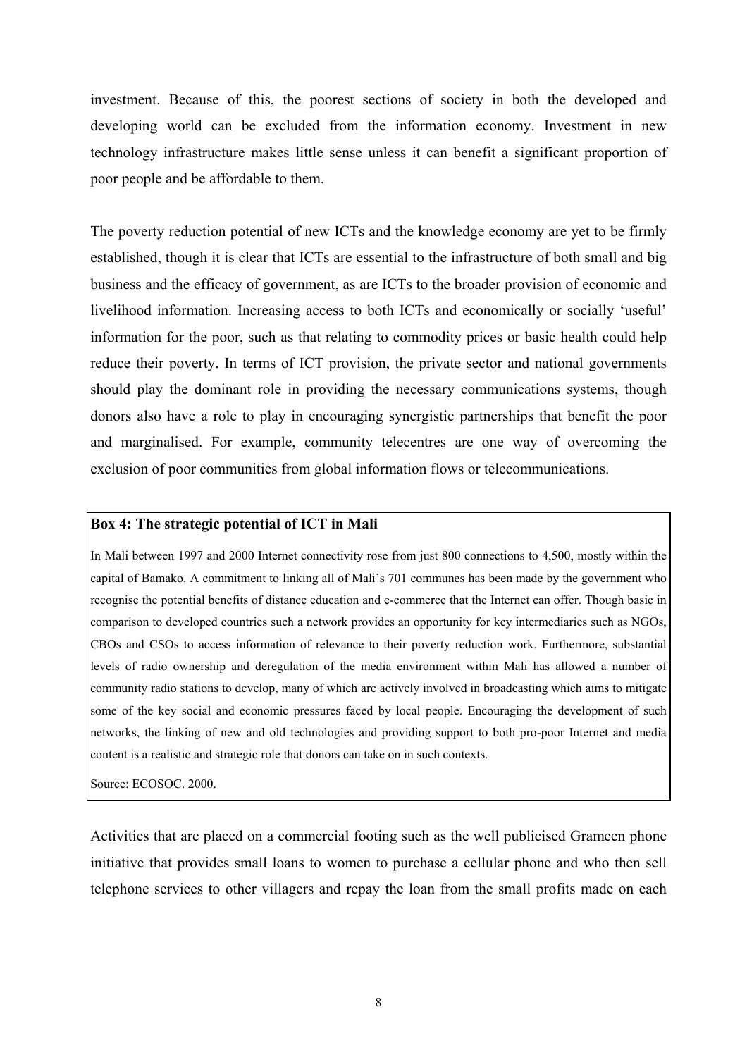investment. Because of this, the poorest sections of society in both the developed and developing world can be excluded from the information economy. Investment in new technology infrastructure makes little sense unless it can benefit a significant proportion of poor people and be affordable to them.

The poverty reduction potential of new ICTs and the knowledge economy are yet to be firmly established, though it is clear that ICTs are essential to the infrastructure of both small and big business and the efficacy of government, as are ICTs to the broader provision of economic and livelihood information. Increasing access to both ICTs and economically or socially 'useful' information for the poor, such as that relating to commodity prices or basic health could help reduce their poverty. In terms of ICT provision, the private sector and national governments should play the dominant role in providing the necessary communications systems, though donors also have a role to play in encouraging synergistic partnerships that benefit the poor and marginalised. For example, community telecentres are one way of overcoming the exclusion of poor communities from global information flows or telecommunications.

#### **Box 4: The strategic potential of ICT in Mali**

In Mali between 1997 and 2000 Internet connectivity rose from just 800 connections to 4,500, mostly within the capital of Bamako. A commitment to linking all of Mali's 701 communes has been made by the government who recognise the potential benefits of distance education and e-commerce that the Internet can offer. Though basic in comparison to developed countries such a network provides an opportunity for key intermediaries such as NGOs, CBOs and CSOs to access information of relevance to their poverty reduction work. Furthermore, substantial levels of radio ownership and deregulation of the media environment within Mali has allowed a number of community radio stations to develop, many of which are actively involved in broadcasting which aims to mitigate some of the key social and economic pressures faced by local people. Encouraging the development of such networks, the linking of new and old technologies and providing support to both pro-poor Internet and media content is a realistic and strategic role that donors can take on in such contexts.

Source: ECOSOC. 2000.

Activities that are placed on a commercial footing such as the well publicised Grameen phone initiative that provides small loans to women to purchase a cellular phone and who then sell telephone services to other villagers and repay the loan from the small profits made on each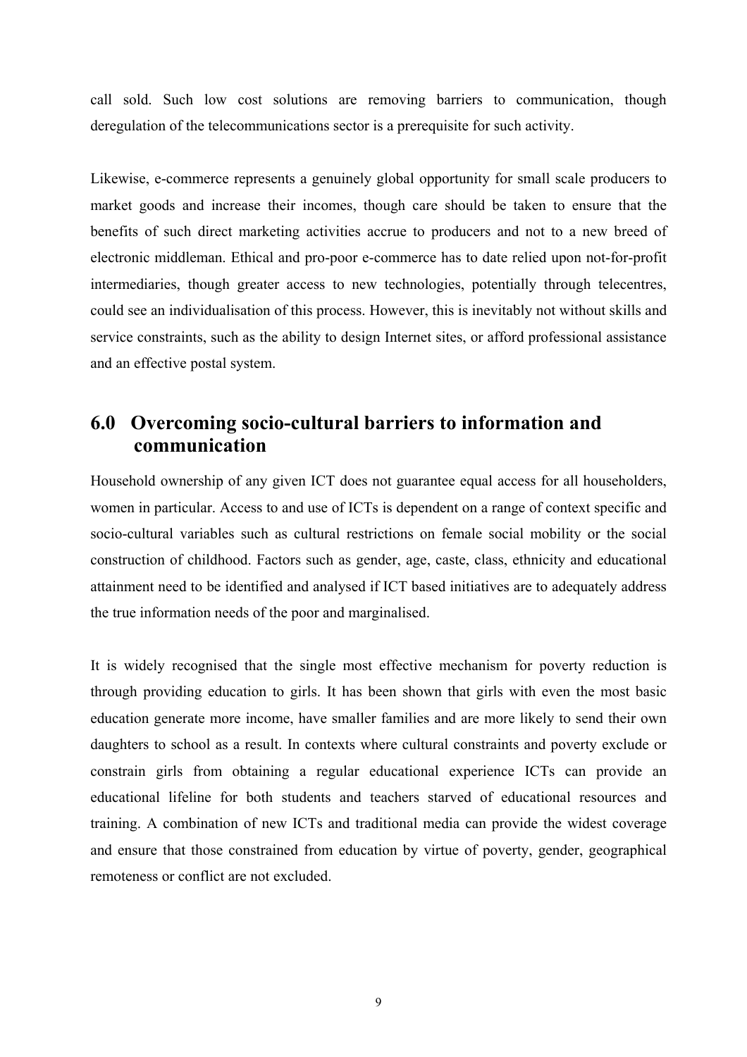<span id="page-15-0"></span>call sold. Such low cost solutions are removing barriers to communication, though deregulation of the telecommunications sector is a prerequisite for such activity.

Likewise, e-commerce represents a genuinely global opportunity for small scale producers to market goods and increase their incomes, though care should be taken to ensure that the benefits of such direct marketing activities accrue to producers and not to a new breed of electronic middleman. Ethical and pro-poor e-commerce has to date relied upon not-for-profit intermediaries, though greater access to new technologies, potentially through telecentres, could see an individualisation of this process. However, this is inevitably not without skills and service constraints, such as the ability to design Internet sites, or afford professional assistance and an effective postal system.

# **6.0 Overcoming socio-cultural barriers to information and communication**

Household ownership of any given ICT does not guarantee equal access for all householders, women in particular. Access to and use of ICTs is dependent on a range of context specific and socio-cultural variables such as cultural restrictions on female social mobility or the social construction of childhood. Factors such as gender, age, caste, class, ethnicity and educational attainment need to be identified and analysed if ICT based initiatives are to adequately address the true information needs of the poor and marginalised.

It is widely recognised that the single most effective mechanism for poverty reduction is through providing education to girls. It has been shown that girls with even the most basic education generate more income, have smaller families and are more likely to send their own daughters to school as a result. In contexts where cultural constraints and poverty exclude or constrain girls from obtaining a regular educational experience ICTs can provide an educational lifeline for both students and teachers starved of educational resources and training. A combination of new ICTs and traditional media can provide the widest coverage and ensure that those constrained from education by virtue of poverty, gender, geographical remoteness or conflict are not excluded.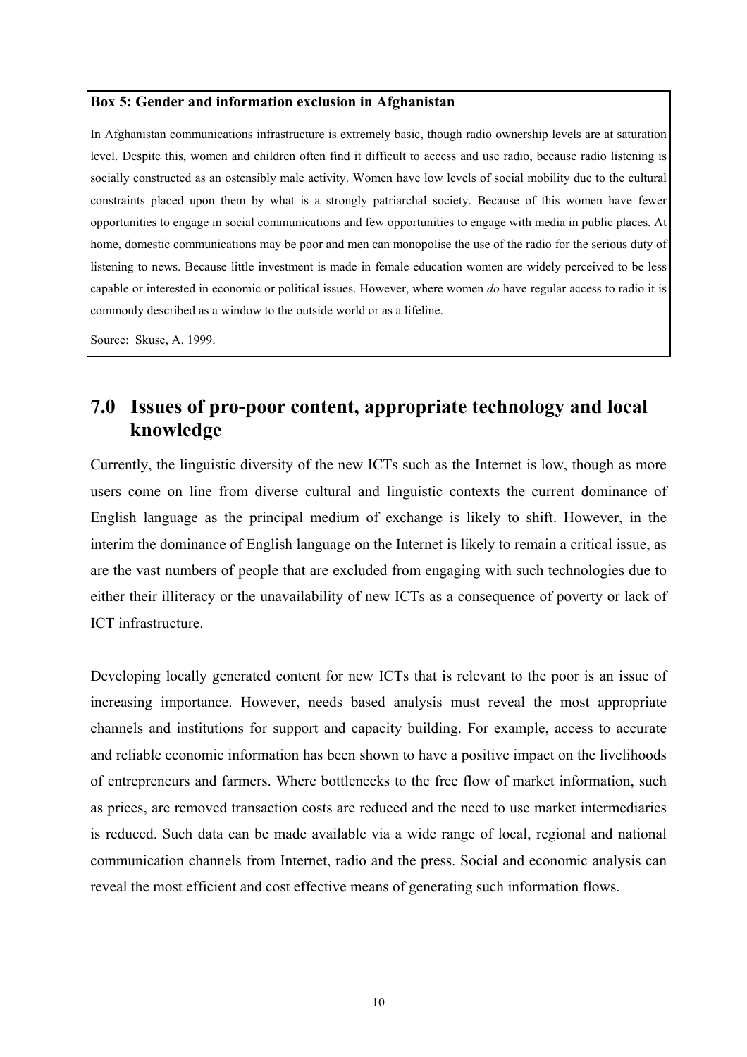#### <span id="page-16-0"></span>**Box 5: Gender and information exclusion in Afghanistan**

In Afghanistan communications infrastructure is extremely basic, though radio ownership levels are at saturation level. Despite this, women and children often find it difficult to access and use radio, because radio listening is socially constructed as an ostensibly male activity. Women have low levels of social mobility due to the cultural constraints placed upon them by what is a strongly patriarchal society. Because of this women have fewer opportunities to engage in social communications and few opportunities to engage with media in public places. At home, domestic communications may be poor and men can monopolise the use of the radio for the serious duty of listening to news. Because little investment is made in female education women are widely perceived to be less capable or interested in economic or political issues. However, where women *do* have regular access to radio it is commonly described as a window to the outside world or as a lifeline.

Source: Skuse, A. 1999.

# **7.0 Issues of pro-poor content, appropriate technology and local knowledge**

Currently, the linguistic diversity of the new ICTs such as the Internet is low, though as more users come on line from diverse cultural and linguistic contexts the current dominance of English language as the principal medium of exchange is likely to shift. However, in the interim the dominance of English language on the Internet is likely to remain a critical issue, as are the vast numbers of people that are excluded from engaging with such technologies due to either their illiteracy or the unavailability of new ICTs as a consequence of poverty or lack of ICT infrastructure.

Developing locally generated content for new ICTs that is relevant to the poor is an issue of increasing importance. However, needs based analysis must reveal the most appropriate channels and institutions for support and capacity building. For example, access to accurate and reliable economic information has been shown to have a positive impact on the livelihoods of entrepreneurs and farmers. Where bottlenecks to the free flow of market information, such as prices, are removed transaction costs are reduced and the need to use market intermediaries is reduced. Such data can be made available via a wide range of local, regional and national communication channels from Internet, radio and the press. Social and economic analysis can reveal the most efficient and cost effective means of generating such information flows.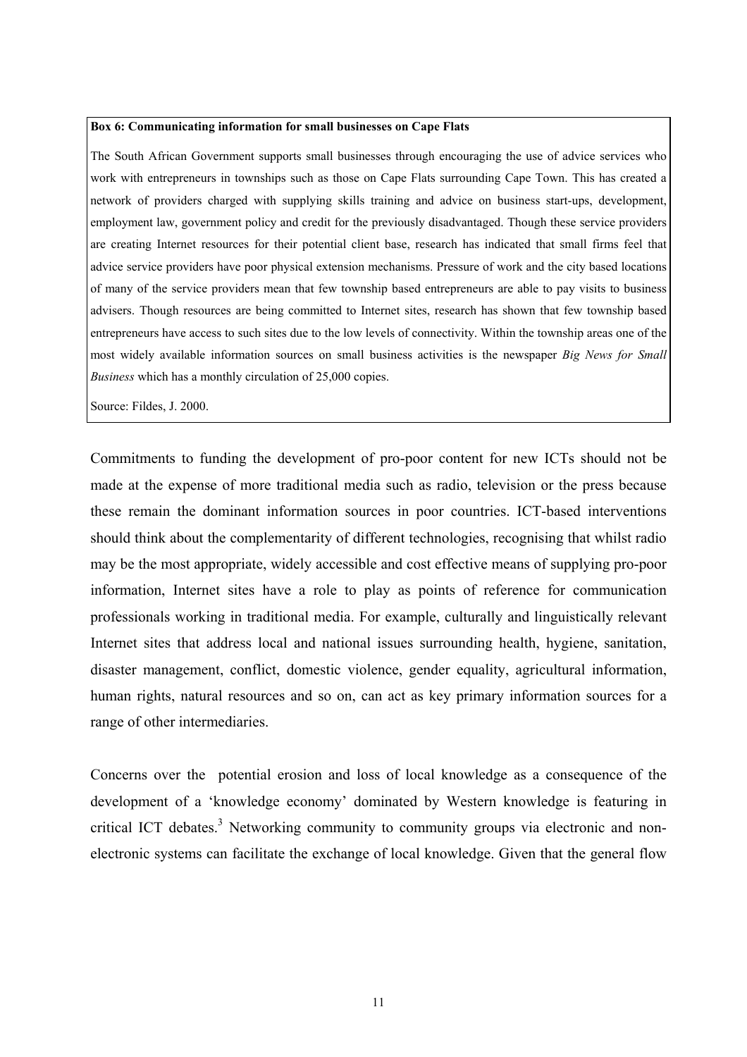#### **Box 6: Communicating information for small businesses on Cape Flats**

The South African Government supports small businesses through encouraging the use of advice services who work with entrepreneurs in townships such as those on Cape Flats surrounding Cape Town. This has created a network of providers charged with supplying skills training and advice on business start-ups, development, employment law, government policy and credit for the previously disadvantaged. Though these service providers are creating Internet resources for their potential client base, research has indicated that small firms feel that advice service providers have poor physical extension mechanisms. Pressure of work and the city based locations of many of the service providers mean that few township based entrepreneurs are able to pay visits to business advisers. Though resources are being committed to Internet sites, research has shown that few township based entrepreneurs have access to such sites due to the low levels of connectivity. Within the township areas one of the most widely available information sources on small business activities is the newspaper *Big News for Small Business* which has a monthly circulation of 25,000 copies.

Source: Fildes, J. 2000.

Commitments to funding the development of pro-poor content for new ICTs should not be made at the expense of more traditional media such as radio, television or the press because these remain the dominant information sources in poor countries. ICT-based interventions should think about the complementarity of different technologies, recognising that whilst radio may be the most appropriate, widely accessible and cost effective means of supplying pro-poor information, Internet sites have a role to play as points of reference for communication professionals working in traditional media. For example, culturally and linguistically relevant Internet sites that address local and national issues surrounding health, hygiene, sanitation, disaster management, conflict, domestic violence, gender equality, agricultural information, human rights, natural resources and so on, can act as key primary information sources for a range of other intermediaries.

<span id="page-17-0"></span>Concerns over the potential erosion and loss of local knowledge as a consequence of the development of a 'knowledge economy' dominated by Western knowledge is featuring in critical ICT debates.<sup>3</sup> Networking community to community groups via electronic and nonelectronic systems can facilitate the exchange of local knowledge. Given that the general flow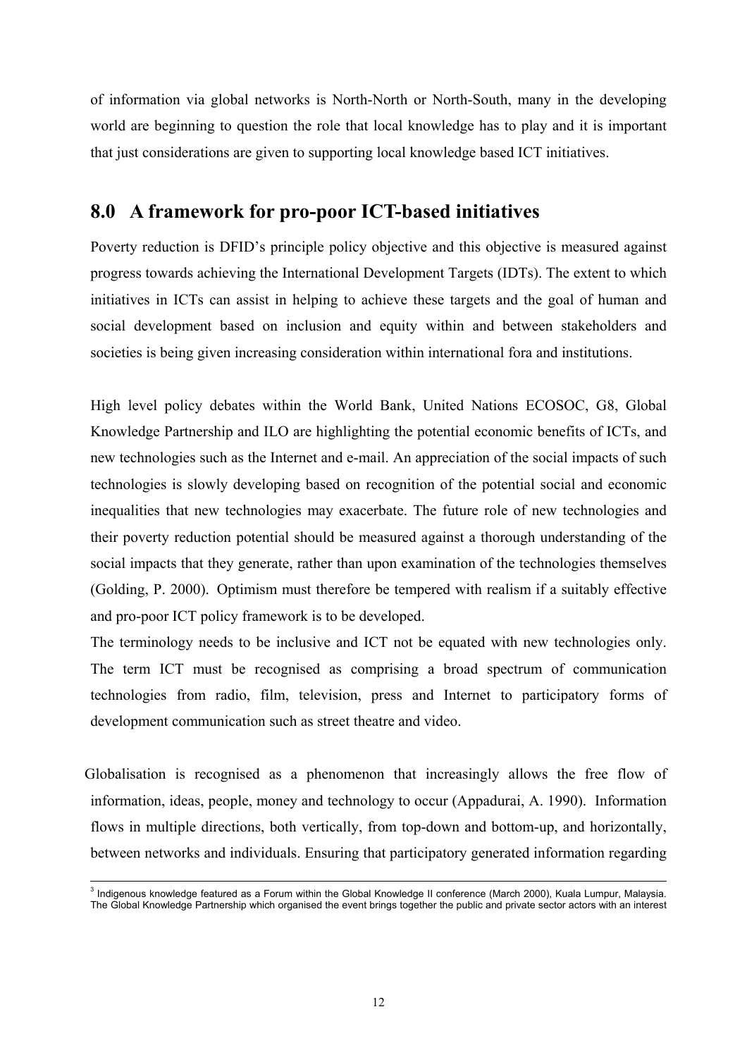<span id="page-18-0"></span>of information via global networks is North-North or North-South, many in the developing world are beginning to question the role that local knowledge has to play and it is important that just considerations are given to supporting local knowledge based ICT initiatives.

## **8.0 A framework for pro-poor ICT-based initiatives**

Poverty reduction is DFID's principle policy objective and this objective is measured against progress towards achieving the International Development Targets (IDTs). The extent to which initiatives in ICTs can assist in helping to achieve these targets and the goal of human and social development based on inclusion and equity within and between stakeholders and societies is being given increasing consideration within international fora and institutions.

High level policy debates within the World Bank, United Nations ECOSOC, G8, Global Knowledge Partnership and ILO are highlighting the potential economic benefits of ICTs, and new technologies such as the Internet and e-mail. An appreciation of the social impacts of such technologies is slowly developing based on recognition of the potential social and economic inequalities that new technologies may exacerbate. The future role of new technologies and their poverty reduction potential should be measured against a thorough understanding of the social impacts that they generate, rather than upon examination of the technologies themselves (Golding, P. 2000). Optimism must therefore be tempered with realism if a suitably effective and pro-poor ICT policy framework is to be developed.

The terminology needs to be inclusive and ICT not be equated with new technologies only. The term ICT must be recognised as comprising a broad spectrum of communication technologies from radio, film, television, press and Internet to participatory forms of development communication such as street theatre and video.

Globalisation is recognised as a phenomenon that increasingly allows the free flow of information, ideas, people, money and technology to occur (Appadurai, A. 1990). Information flows in multiple directions, both vertically, from top-down and bottom-up, and horizontally, between networks and individuals. Ensuring that participatory generated information regarding

<sup>&</sup>lt;u>.</u><br>Indigenous knowledge featured as a Forum within the Global Knowledge II conference (March 2000), Kuala Lumpur, Malaysia. The Global Knowledge Partnership which organised the event brings together the public and private sector actors with an interest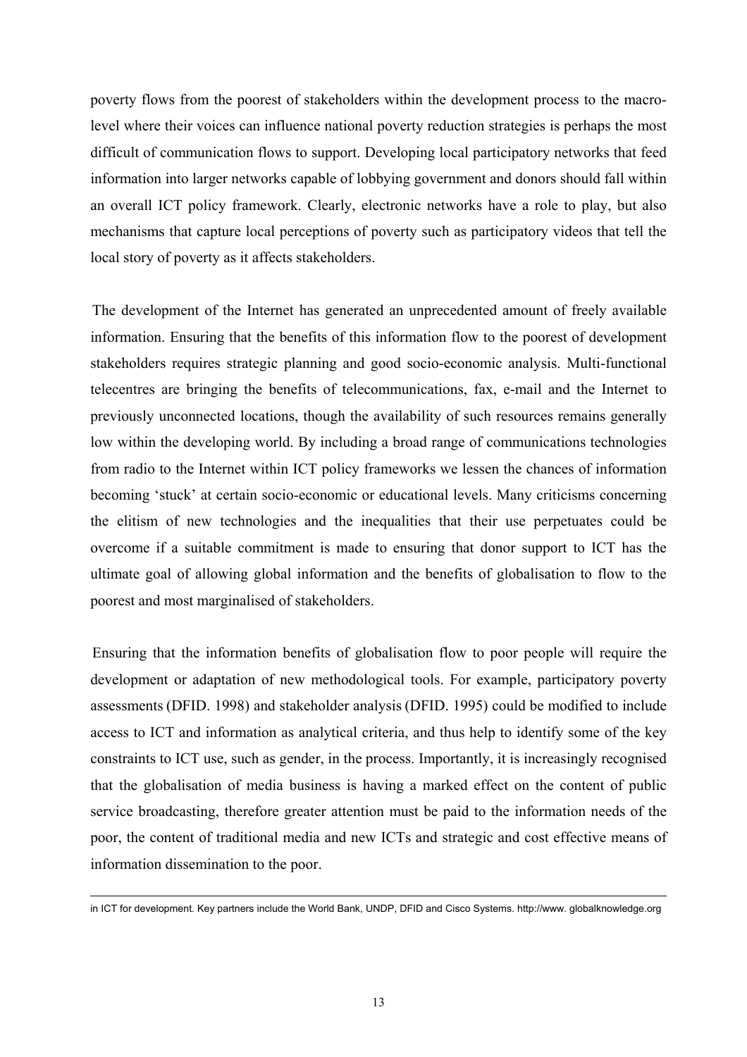poverty flows from the poorest of stakeholders within the development process to the macrolevel where their voices can influence national poverty reduction strategies is perhaps the most difficult of communication flows to support. Developing local participatory networks that feed information into larger networks capable of lobbying government and donors should fall within an overall ICT policy framework. Clearly, electronic networks have a role to play, but also mechanisms that capture local perceptions of poverty such as participatory videos that tell the local story of poverty as it affects stakeholders.

The development of the Internet has generated an unprecedented amount of freely available information. Ensuring that the benefits of this information flow to the poorest of development stakeholders requires strategic planning and good socio-economic analysis. Multi-functional telecentres are bringing the benefits of telecommunications, fax, e-mail and the Internet to previously unconnected locations, though the availability of such resources remains generally low within the developing world. By including a broad range of communications technologies from radio to the Internet within ICT policy frameworks we lessen the chances of information becoming 'stuck' at certain socio-economic or educational levels. Many criticisms concerning the elitism of new technologies and the inequalities that their use perpetuates could be overcome if a suitable commitment is made to ensuring that donor support to ICT has the ultimate goal of allowing global information and the benefits of globalisation to flow to the poorest and most marginalised of stakeholders.

 Ensuring that the information benefits of globalisation flow to poor people will require the development or adaptation of new methodological tools. For example, participatory poverty assessments (DFID. 1998) and stakeholder analysis (DFID. 1995) could be modified to include access to ICT and information as analytical criteria, and thus help to identify some of the key constraints to ICT use, such as gender, in the process. Importantly, it is increasingly recognised that the globalisation of media business is having a marked effect on the content of public service broadcasting, therefore greater attention must be paid to the information needs of the poor, the content of traditional media and new ICTs and strategic and cost effective means of information dissemination to the poor.

in ICT for development. Key partners include the World Bank, UNDP, DFID and Cisco Systems. http://www. globalknowledge.org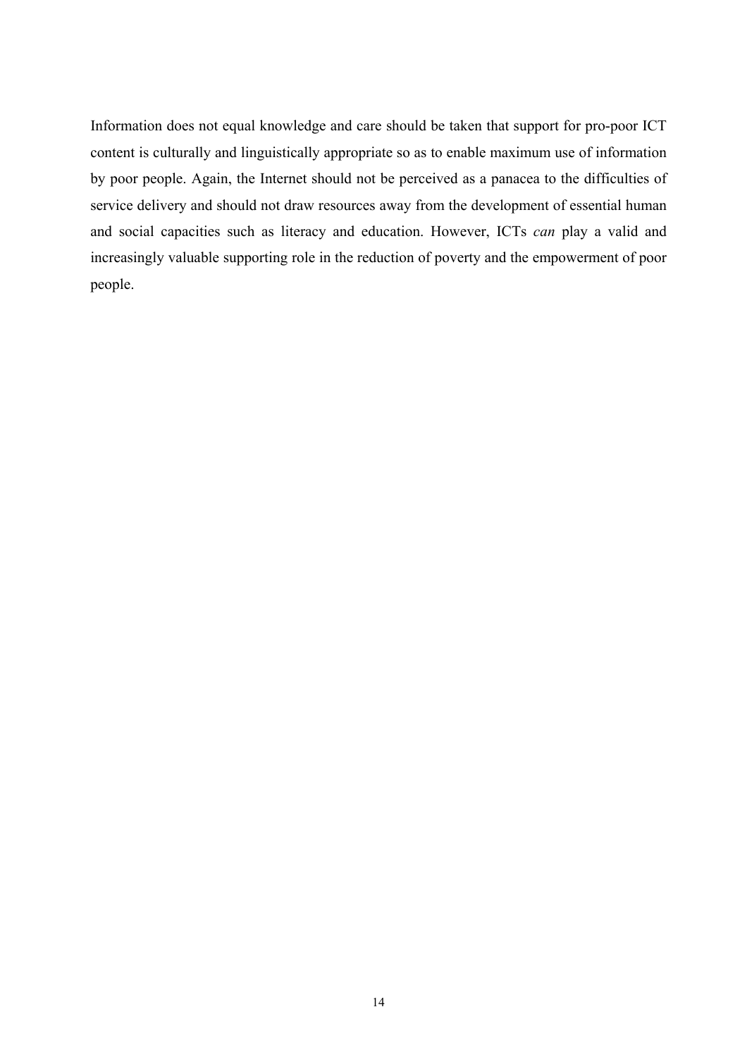Information does not equal knowledge and care should be taken that support for pro-poor ICT content is culturally and linguistically appropriate so as to enable maximum use of information by poor people. Again, the Internet should not be perceived as a panacea to the difficulties of service delivery and should not draw resources away from the development of essential human and social capacities such as literacy and education. However, ICTs *can* play a valid and increasingly valuable supporting role in the reduction of poverty and the empowerment of poor people.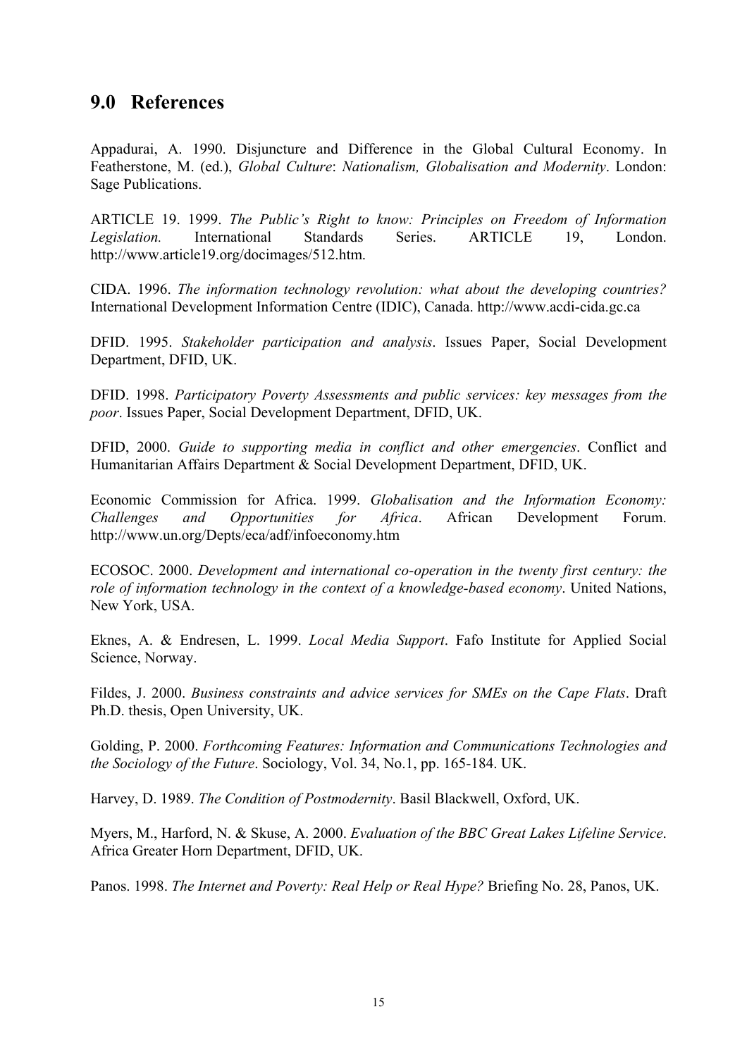## <span id="page-21-0"></span>**9.0****References**

Appadurai, A. 1990. Disjuncture and Difference in the Global Cultural Economy. In Featherstone, M. (ed.), *Global Culture*: *Nationalism, Globalisation and Modernity*. London: Sage Publications.

ARTICLE 19. 1999. *The Public's Right to know: Principles on Freedom of Information Legislation.* International Standards Series. ARTICLE 19, London. http://www.article19.org/docimages/512.htm.

CIDA. 1996. *The information technology revolution: what about the developing countries?*  International Development Information Centre (IDIC), Canada. http://www.acdi-cida.gc.ca

DFID. 1995. *Stakeholder participation and analysis*. Issues Paper, Social Development Department, DFID, UK.

DFID. 1998. *Participatory Poverty Assessments and public services: key messages from the poor*. Issues Paper, Social Development Department, DFID, UK.

DFID, 2000. *Guide to supporting media in conflict and other emergencies*. Conflict and Humanitarian Affairs Department & Social Development Department, DFID, UK.

Economic Commission for Africa. 1999. *Globalisation and the Information Economy: Challenges and Opportunities for Africa*. African Development Forum. http://www.un.org/Depts/eca/adf/infoeconomy.htm

ECOSOC. 2000. *Development and international co-operation in the twenty first century: the role of information technology in the context of a knowledge-based economy*. United Nations, New York, USA.

Eknes, A. & Endresen, L. 1999. *Local Media Support*. Fafo Institute for Applied Social Science, Norway.

Fildes, J. 2000. *Business constraints and advice services for SMEs on the Cape Flats*. Draft Ph.D. thesis, Open University, UK.

Golding, P. 2000. *Forthcoming Features: Information and Communications Technologies and the Sociology of the Future*. Sociology, Vol. 34, No.1, pp. 165-184. UK.

Harvey, D. 1989. *The Condition of Postmodernity*. Basil Blackwell, Oxford, UK.

Myers, M., Harford, N. & Skuse, A. 2000. *Evaluation of the BBC Great Lakes Lifeline Service*. Africa Greater Horn Department, DFID, UK.

Panos. 1998. *The Internet and Poverty: Real Help or Real Hype?* Briefing No. 28, Panos, UK.